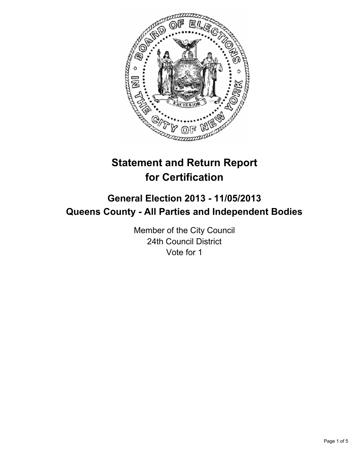

# **Statement and Return Report for Certification**

## **General Election 2013 - 11/05/2013 Queens County - All Parties and Independent Bodies**

Member of the City Council 24th Council District Vote for 1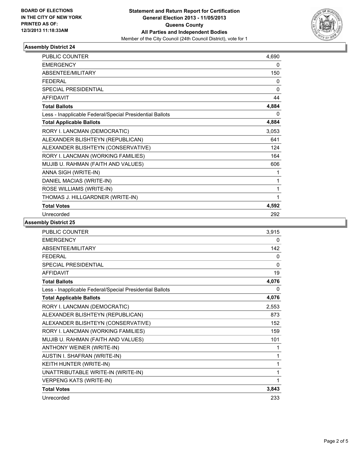

### **Assembly District 24**

| <b>PUBLIC COUNTER</b>                                    | 4,690        |
|----------------------------------------------------------|--------------|
| <b>EMERGENCY</b>                                         | 0            |
| ABSENTEE/MILITARY                                        | 150          |
| <b>FEDERAL</b>                                           | 0            |
| <b>SPECIAL PRESIDENTIAL</b>                              | $\mathbf{0}$ |
| <b>AFFIDAVIT</b>                                         | 44           |
| <b>Total Ballots</b>                                     | 4,884        |
| Less - Inapplicable Federal/Special Presidential Ballots | 0            |
| <b>Total Applicable Ballots</b>                          | 4,884        |
| RORY I. LANCMAN (DEMOCRATIC)                             | 3,053        |
| ALEXANDER BLISHTEYN (REPUBLICAN)                         | 641          |
| ALEXANDER BLISHTEYN (CONSERVATIVE)                       | 124          |
| RORY I. LANCMAN (WORKING FAMILIES)                       | 164          |
| MUJIB U. RAHMAN (FAITH AND VALUES)                       | 606          |
| ANNA SIGH (WRITE-IN)                                     | 1            |
| DANIEL MACIAS (WRITE-IN)                                 | 1            |
| ROSE WILLIAMS (WRITE-IN)                                 | 1            |
| THOMAS J. HILLGARDNER (WRITE-IN)                         | 1            |
| <b>Total Votes</b>                                       | 4,592        |
| Unrecorded                                               | 292          |

**Assembly District 25**

| PUBLIC COUNTER                                           | 3,915 |
|----------------------------------------------------------|-------|
| <b>EMERGENCY</b>                                         | 0     |
| ABSENTEE/MILITARY                                        | 142   |
| <b>FEDERAL</b>                                           | 0     |
| <b>SPECIAL PRESIDENTIAL</b>                              | 0     |
| <b>AFFIDAVIT</b>                                         | 19    |
| <b>Total Ballots</b>                                     | 4,076 |
| Less - Inapplicable Federal/Special Presidential Ballots | 0     |
| <b>Total Applicable Ballots</b>                          | 4,076 |
| RORY I. LANCMAN (DEMOCRATIC)                             | 2,553 |
| ALEXANDER BLISHTEYN (REPUBLICAN)                         | 873   |
| ALEXANDER BLISHTEYN (CONSERVATIVE)                       | 152   |
| RORY I. LANCMAN (WORKING FAMILIES)                       | 159   |
| MUJIB U. RAHMAN (FAITH AND VALUES)                       | 101   |
| ANTHONY WEINER (WRITE-IN)                                | 1     |
| AUSTIN I. SHAFRAN (WRITE-IN)                             | 1     |
| KEITH HUNTER (WRITE-IN)                                  | 1     |
| UNATTRIBUTABLE WRITE-IN (WRITE-IN)                       | 1     |
| <b>VERPENG KATS (WRITE-IN)</b>                           | 1     |
| <b>Total Votes</b>                                       | 3,843 |
| Unrecorded                                               | 233   |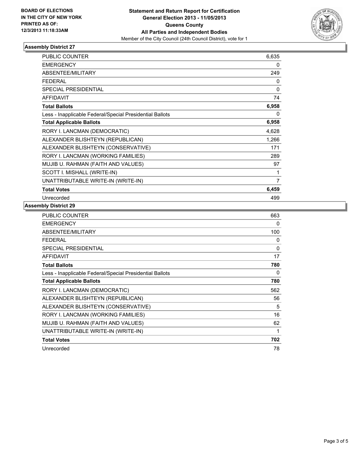

### **Assembly District 27**

| <b>PUBLIC COUNTER</b>                                    | 6,635 |
|----------------------------------------------------------|-------|
| <b>EMERGENCY</b>                                         | 0     |
| <b>ABSENTEE/MILITARY</b>                                 | 249   |
| <b>FEDERAL</b>                                           | 0     |
| <b>SPECIAL PRESIDENTIAL</b>                              | 0     |
| <b>AFFIDAVIT</b>                                         | 74    |
| <b>Total Ballots</b>                                     | 6,958 |
| Less - Inapplicable Federal/Special Presidential Ballots | 0     |
| <b>Total Applicable Ballots</b>                          | 6,958 |
| RORY I. LANCMAN (DEMOCRATIC)                             | 4,628 |
| ALEXANDER BLISHTEYN (REPUBLICAN)                         | 1,266 |
| ALEXANDER BLISHTEYN (CONSERVATIVE)                       | 171   |
| RORY I. LANCMAN (WORKING FAMILIES)                       | 289   |
| MUJIB U. RAHMAN (FAITH AND VALUES)                       | 97    |
| SCOTT I. MISHALL (WRITE-IN)                              | 1     |
| UNATTRIBUTABLE WRITE-IN (WRITE-IN)                       | 7     |
| <b>Total Votes</b>                                       | 6,459 |
| Unrecorded                                               | 499   |

#### **Assembly District 29**

| <b>PUBLIC COUNTER</b>                                    | 663          |
|----------------------------------------------------------|--------------|
| <b>EMERGENCY</b>                                         | 0            |
| ABSENTEE/MILITARY                                        | 100          |
| <b>FEDERAL</b>                                           | 0            |
| <b>SPECIAL PRESIDENTIAL</b>                              | $\mathbf{0}$ |
| AFFIDAVIT                                                | 17           |
| <b>Total Ballots</b>                                     | 780          |
| Less - Inapplicable Federal/Special Presidential Ballots | 0            |
| <b>Total Applicable Ballots</b>                          | 780          |
| RORY I. LANCMAN (DEMOCRATIC)                             | 562          |
| ALEXANDER BLISHTEYN (REPUBLICAN)                         | 56           |
| ALEXANDER BLISHTEYN (CONSERVATIVE)                       | 5            |
| RORY I. LANCMAN (WORKING FAMILIES)                       | 16           |
| MUJIB U. RAHMAN (FAITH AND VALUES)                       | 62           |
| UNATTRIBUTABLE WRITE-IN (WRITE-IN)                       | 1            |
| <b>Total Votes</b>                                       | 702          |
| Unrecorded                                               | 78           |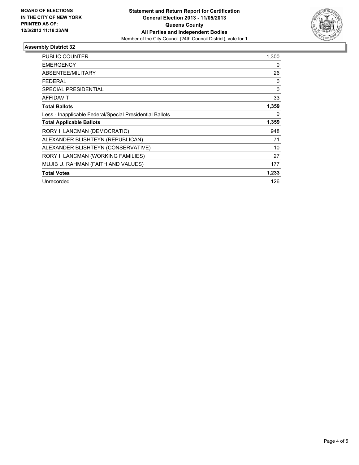

### **Assembly District 32**

| <b>PUBLIC COUNTER</b>                                    | 1,300    |
|----------------------------------------------------------|----------|
| <b>EMERGENCY</b>                                         | 0        |
| ABSENTEE/MILITARY                                        | 26       |
| <b>FEDERAL</b>                                           | 0        |
| SPECIAL PRESIDENTIAL                                     | 0        |
| <b>AFFIDAVIT</b>                                         | 33       |
| <b>Total Ballots</b>                                     | 1,359    |
| Less - Inapplicable Federal/Special Presidential Ballots | $\Omega$ |
| <b>Total Applicable Ballots</b>                          | 1,359    |
| RORY I. LANCMAN (DEMOCRATIC)                             | 948      |
| ALEXANDER BLISHTEYN (REPUBLICAN)                         | 71       |
| ALEXANDER BLISHTEYN (CONSERVATIVE)                       | 10       |
| RORY I. LANCMAN (WORKING FAMILIES)                       | 27       |
| MUJIB U. RAHMAN (FAITH AND VALUES)                       | 177      |
| <b>Total Votes</b>                                       | 1,233    |
| Unrecorded                                               | 126      |